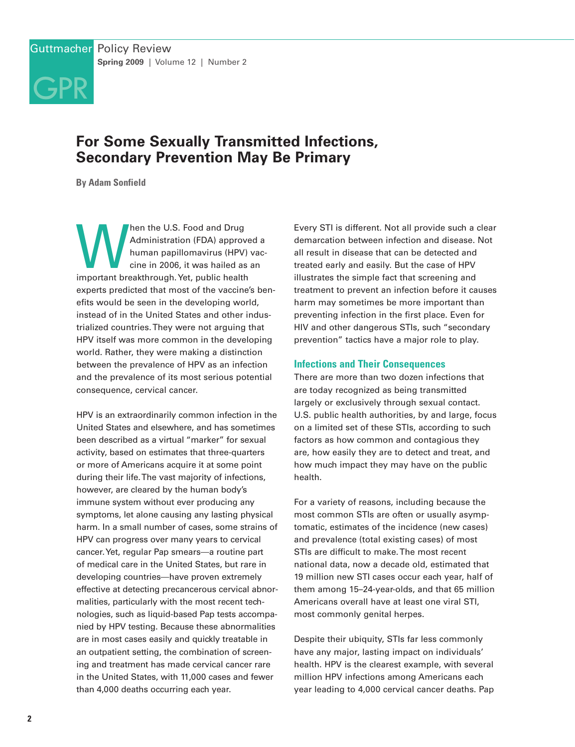

# **For Some Sexually Transmitted Infections, Secondary Prevention May Be Primary**

**By Adam Sonfield**

Madministration (FDA) approv<br>
human papillomavirus (HPV)<br>
cine in 2006, it was hailed as<br>
important breakthrough. Yet, public health Administration (FDA) approved a human papillomavirus (HPV) vaccine in 2006, it was hailed as an experts predicted that most of the vaccine's benefits would be seen in the developing world, instead of in the United States and other industrialized countries.They were not arguing that HPV itself was more common in the developing world. Rather, they were making a distinction between the prevalence of HPV as an infection and the prevalence of its most serious potential consequence, cervical cancer.

HPV is an extraordinarily common infection in the United States and elsewhere, and has sometimes been described as a virtual "marker" for sexual activity, based on estimates that three-quarters or more of Americans acquire it at some point during their life.The vast majority of infections, however, are cleared by the human body's immune system without ever producing any symptoms, let alone causing any lasting physical harm. In a small number of cases, some strains of HPV can progress over many years to cervical cancer.Yet, regular Pap smears—a routine part of medical care in the United States, but rare in developing countries—have proven extremely effective at detecting precancerous cervical abnormalities, particularly with the most recent technologies, such as liquid-based Pap tests accompanied by HPV testing. Because these abnormalities are in most cases easily and quickly treatable in an outpatient setting, the combination of screening and treatment has made cervical cancer rare in the United States, with 11,000 cases and fewer than 4,000 deaths occurring each year.

Every STI is different. Not all provide such a clear demarcation between infection and disease. Not all result in disease that can be detected and treated early and easily. But the case of HPV illustrates the simple fact that screening and treatment to prevent an infection before it causes harm may sometimes be more important than preventing infection in the first place. Even for HIV and other dangerous STIs, such "secondary prevention" tactics have a major role to play.

# **Infections and Their Consequences**

There are more than two dozen infections that are today recognized as being transmitted largely or exclusively through sexual contact. U.S. public health authorities, by and large, focus on a limited set of these STIs, according to such factors as how common and contagious they are, how easily they are to detect and treat, and how much impact they may have on the public health.

For a variety of reasons, including because the most common STIs are often or usually asymptomatic, estimates of the incidence (new cases) and prevalence (total existing cases) of most STIs are difficult to make.The most recent national data, now a decade old, estimated that 19 million new STI cases occur each year, half of them among 15–24-year-olds, and that 65 million Americans overall have at least one viral STI, most commonly genital herpes.

Despite their ubiquity, STIs far less commonly have any major, lasting impact on individuals' health. HPV is the clearest example, with several million HPV infections among Americans each year leading to 4,000 cervical cancer deaths. Pap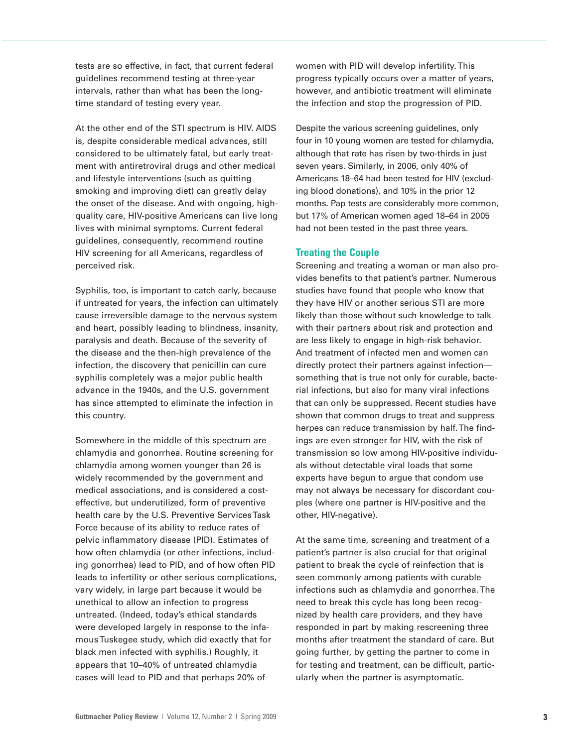tests are so effective, in fact, that current federal guidelines recommend testing at three-year intervals, rather than what has been the longtime standard of testing every year.

At the other end of the STI spectrum is HIV. AIDS is, despite considerable medical advances, still considered to be ultimately fatal, but early treatment with antiretroviral drugs and other medical and lifestyle interventions (such as quitting smoking and improving diet) can greatly delay the onset of the disease. And with ongoing, highquality care, HIV-positive Americans can live long lives with minimal symptoms. Current federal guidelines, consequently, recommend routine HIV screening for all Americans, regardless of perceived risk.

Syphilis, too, is important to catch early, because if untreated for years, the infection can ultimately cause irreversible damage to the nervous system and heart, possibly leading to blindness, insanity, paralysis and death. Because of the severity of the disease and the then-high prevalence of the infection, the discovery that penicillin can cure syphilis completely was a major public health advance in the 1940s, and the U.S. government has since attempted to eliminate the infection in this country.

Somewhere in the middle of this spectrum are chlamydia and gonorrhea. Routine screening for chlamydia among women younger than 26 is widely recommended by the government and medical associations, and is considered a costeffective, but underutilized, form of preventive health care by the U.S. Preventive ServicesTask Force because of its ability to reduce rates of pelvic inflammatory disease (PID). Estimates of how often chlamydia (or other infections, including gonorrhea) lead to PID, and of how often PID leads to infertility or other serious complications, vary widely, in large part because it would be unethical to allow an infection to progress untreated. (Indeed, today's ethical standards were developed largely in response to the infamousTuskegee study, which did exactly that for black men infected with syphilis.) Roughly, it appears that 10–40% of untreated chlamydia cases will lead to PID and that perhaps 20% of

women with PID will develop infertility.This progress typically occurs over a matter of years, however, and antibiotic treatment will eliminate the infection and stop the progression of PID.

Despite the various screening guidelines, only four in 10 young women are tested for chlamydia, although that rate has risen by two-thirds in just seven years. Similarly, in 2006, only 40% of Americans 18–64 had been tested for HIV (excluding blood donations), and 10% in the prior 12 months. Pap tests are considerably more common, but 17% of American women aged 18–64 in 2005 had not been tested in the past three years.

### **Treating the Couple**

Screening and treating a woman or man also provides benefits to that patient's partner. Numerous studies have found that people who know that they have HIV or another serious STI are more likely than those without such knowledge to talk with their partners about risk and protection and are less likely to engage in high-risk behavior. And treatment of infected men and women can directly protect their partners against infection something that is true not only for curable, bacterial infections, but also for many viral infections that can only be suppressed. Recent studies have shown that common drugs to treat and suppress herpes can reduce transmission by half.The findings are even stronger for HIV, with the risk of transmission so low among HIV-positive individuals without detectable viral loads that some experts have begun to argue that condom use may not always be necessary for discordant couples (where one partner is HIV-positive and the other, HIV-negative).

At the same time, screening and treatment of a patient's partner is also crucial for that original patient to break the cycle of reinfection that is seen commonly among patients with curable infections such as chlamydia and gonorrhea.The need to break this cycle has long been recognized by health care providers, and they have responded in part by making rescreening three months after treatment the standard of care. But going further, by getting the partner to come in for testing and treatment, can be difficult, particularly when the partner is asymptomatic.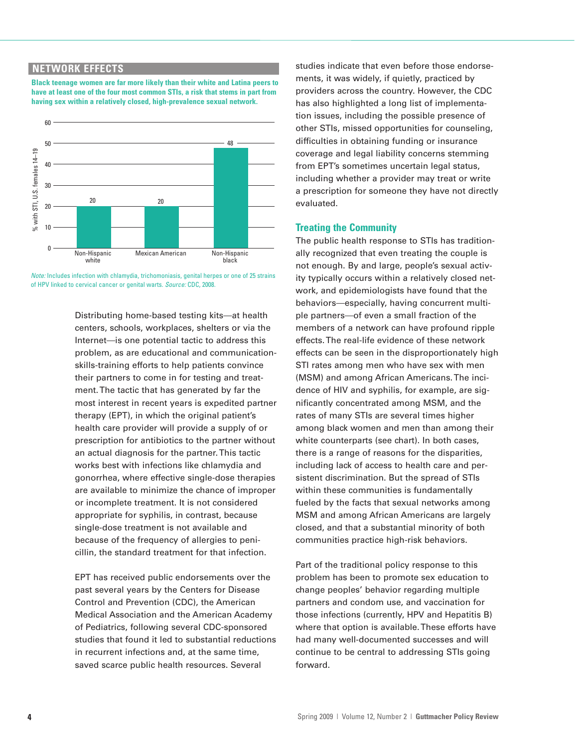## **NETWORK EFFECTS**



**Black teenage women are far more likely than their white and Latina peers to have at least one of the four most common STIs, a risk that stems in part from having sex within a relatively closed, high-prevalence sexual network.**

Distributing home-based testing kits—at health centers, schools, workplaces, shelters or via the Internet—is one potential tactic to address this problem, as are educational and communicationskills-training efforts to help patients convince their partners to come in for testing and treatment.The tactic that has generated by far the most interest in recent years is expedited partner therapy (EPT), in which the original patient's health care provider will provide a supply of or prescription for antibiotics to the partner without an actual diagnosis for the partner.This tactic works best with infections like chlamydia and gonorrhea, where effective single-dose therapies are available to minimize the chance of improper or incomplete treatment. It is not considered appropriate for syphilis, in contrast, because single-dose treatment is not available and because of the frequency of allergies to penicillin, the standard treatment for that infection.

EPT has received public endorsements over the past several years by the Centers for Disease Control and Prevention (CDC), the American Medical Association and the American Academy of Pediatrics, following several CDC-sponsored studies that found it led to substantial reductions in recurrent infections and, at the same time, saved scarce public health resources. Several

studies indicate that even before those endorsements, it was widely, if quietly, practiced by providers across the country. However, the CDC has also highlighted a long list of implementation issues, including the possible presence of other STIs, missed opportunities for counseling, difficulties in obtaining funding or insurance coverage and legal liability concerns stemming from EPT's sometimes uncertain legal status, including whether a provider may treat or write a prescription for someone they have not directly evaluated.

#### **Treating the Community**

The public health response to STIs has traditionally recognized that even treating the couple is not enough. By and large, people's sexual activity typically occurs within a relatively closed network, and epidemiologists have found that the behaviors—especially, having concurrent multiple partners—of even a small fraction of the members of a network can have profound ripple effects.The real-life evidence of these network effects can be seen in the disproportionately high STI rates among men who have sex with men (MSM) and among African Americans.The incidence of HIV and syphilis, for example, are significantly concentrated among MSM, and the rates of many STIs are several times higher among black women and men than among their white counterparts (see chart). In both cases, there is a range of reasons for the disparities, including lack of access to health care and persistent discrimination. But the spread of STIs within these communities is fundamentally fueled by the facts that sexual networks among MSM and among African Americans are largely closed, and that a substantial minority of both communities practice high-risk behaviors.

Part of the traditional policy response to this problem has been to promote sex education to change peoples' behavior regarding multiple partners and condom use, and vaccination for those infections (currently, HPV and Hepatitis B) where that option is available.These efforts have had many well-documented successes and will continue to be central to addressing STIs going forward.

*Note:* Includes infection with chlamydia, trichomoniasis, genital herpes or one of 25 strains of HPV linked to cervical cancer or genital warts. *Source:* CDC, 2008.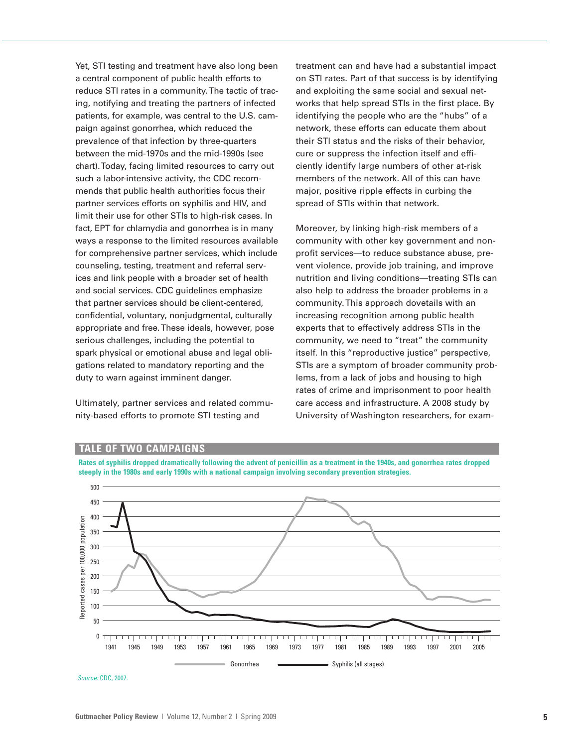Yet, STI testing and treatment have also long been a central component of public health efforts to reduce STI rates in a community.The tactic of tracing, notifying and treating the partners of infected patients, for example, was central to the U.S. campaign against gonorrhea, which reduced the prevalence of that infection by three-quarters between the mid-1970s and the mid-1990s (see chart).Today, facing limited resources to carry out such a labor-intensive activity, the CDC recommends that public health authorities focus their partner services efforts on syphilis and HIV, and limit their use for other STIs to high-risk cases. In fact, EPT for chlamydia and gonorrhea is in many ways a response to the limited resources available for comprehensive partner services, which include counseling, testing, treatment and referral services and link people with a broader set of health and social services. CDC guidelines emphasize that partner services should be client-centered, confidential, voluntary, nonjudgmental, culturally appropriate and free.These ideals, however, pose serious challenges, including the potential to spark physical or emotional abuse and legal obligations related to mandatory reporting and the duty to warn against imminent danger.

Ultimately, partner services and related community-based efforts to promote STI testing and

treatment can and have had a substantial impact on STI rates. Part of that success is by identifying and exploiting the same social and sexual networks that help spread STIs in the first place. By identifying the people who are the "hubs" of a network, these efforts can educate them about their STI status and the risks of their behavior, cure or suppress the infection itself and efficiently identify large numbers of other at-risk members of the network. All of this can have major, positive ripple effects in curbing the spread of STIs within that network.

Moreover, by linking high-risk members of a community with other key government and nonprofit services—to reduce substance abuse, prevent violence, provide job training, and improve nutrition and living conditions—treating STIs can also help to address the broader problems in a community.This approach dovetails with an increasing recognition among public health experts that to effectively address STIs in the community, we need to "treat" the community itself. In this "reproductive justice" perspective, STIs are a symptom of broader community problems, from a lack of jobs and housing to high rates of crime and imprisonment to poor health care access and infrastructure. A 2008 study by University of Washington researchers, for exam-



**TALE OF TWO CAMPAIGNS**

Rates of syphilis dropped dramatically following the advent of penicillin as a treatment in the 1940s, and gonorrhea rates dropped **steeply in the 1980s and early 1990s with a national campaign involving secondary prevention strategies.**

*Source:* CDC, 2007.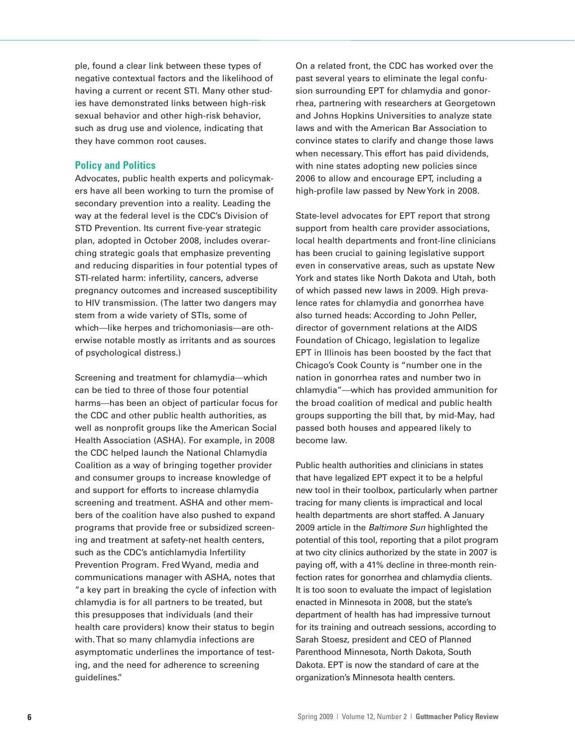ple, found a clear link between these types of negative contextual factors and the likelihood of having a current or recent STI. Many other studies have demonstrated links between high-risk sexual behavior and other high-risk behavior, such as drug use and violence, indicating that they have common root causes.

## **Policy and Politics**

Advocates, public health experts and policymakers have all been working to turn the promise of secondary prevention into a reality. Leading the way at the federal level is the CDC's Division of STD Prevention. Its current five-year strategic plan, adopted in October 2008, includes overarching strategic goals that emphasize preventing and reducing disparities in four potential types of STI-related harm: infertility, cancers, adverse pregnancy outcomes and increased susceptibility to HIV transmission. (The latter two dangers may stem from a wide variety of STIs, some of which—like herpes and trichomoniasis—are otherwise notable mostly as irritants and as sources of psychological distress.)

Screening and treatment for chlamydia—which can be tied to three of those four potential harms—has been an object of particular focus for the CDC and other public health authorities, as well as nonprofit groups like the American Social Health Association (ASHA). For example, in 2008 the CDC helped launch the National Chlamydia Coalition as a way of bringing together provider and consumer groups to increase knowledge of and support for efforts to increase chlamydia screening and treatment. ASHA and other members of the coalition have also pushed to expand programs that provide free or subsidized screening and treatment at safety-net health centers, such as the CDC's antichlamydia Infertility Prevention Program. Fred Wyand, media and communications manager with ASHA, notes that "a key part in breaking the cycle of infection with chlamydia is for all partners to be treated, but this presupposes that individuals (and their health care providers) know their status to begin with.That so many chlamydia infections are asymptomatic underlines the importance of testing, and the need for adherence to screening guidelines."

On a related front, the CDC has worked over the past several years to eliminate the legal confusion surrounding EPT for chlamydia and gonorrhea, partnering with researchers at Georgetown and Johns Hopkins Universities to analyze state laws and with the American Bar Association to convince states to clarify and change those laws when necessary.This effort has paid dividends, with nine states adopting new policies since 2006 to allow and encourage EPT, including a high-profile law passed by NewYork in 2008.

State-level advocates for EPT report that strong support from health care provider associations, local health departments and front-line clinicians has been crucial to gaining legislative support even in conservative areas, such as upstate New York and states like North Dakota and Utah, both of which passed new laws in 2009. High prevalence rates for chlamydia and gonorrhea have also turned heads: According to John Peller, director of government relations at the AIDS Foundation of Chicago, legislation to legalize EPT in Illinois has been boosted by the fact that Chicago's Cook County is "number one in the nation in gonorrhea rates and number two in chlamydia"—which has provided ammunition for the broad coalition of medical and public health groups supporting the bill that, by mid-May, had passed both houses and appeared likely to become law.

Public health authorities and clinicians in states that have legalized EPT expect it to be a helpful new tool in their toolbox, particularly when partner tracing for many clients is impractical and local health departments are short staffed. A January 2009 article in the *Baltimore Sun* highlighted the potential of this tool, reporting that a pilot program at two city clinics authorized by the state in 2007 is paying off, with a 41% decline in three-month reinfection rates for gonorrhea and chlamydia clients. It is too soon to evaluate the impact of legislation enacted in Minnesota in 2008, but the state's department of health has had impressive turnout for its training and outreach sessions, according to Sarah Stoesz, president and CEO of Planned Parenthood Minnesota, North Dakota, South Dakota. EPT is now the standard of care at the organization's Minnesota health centers.